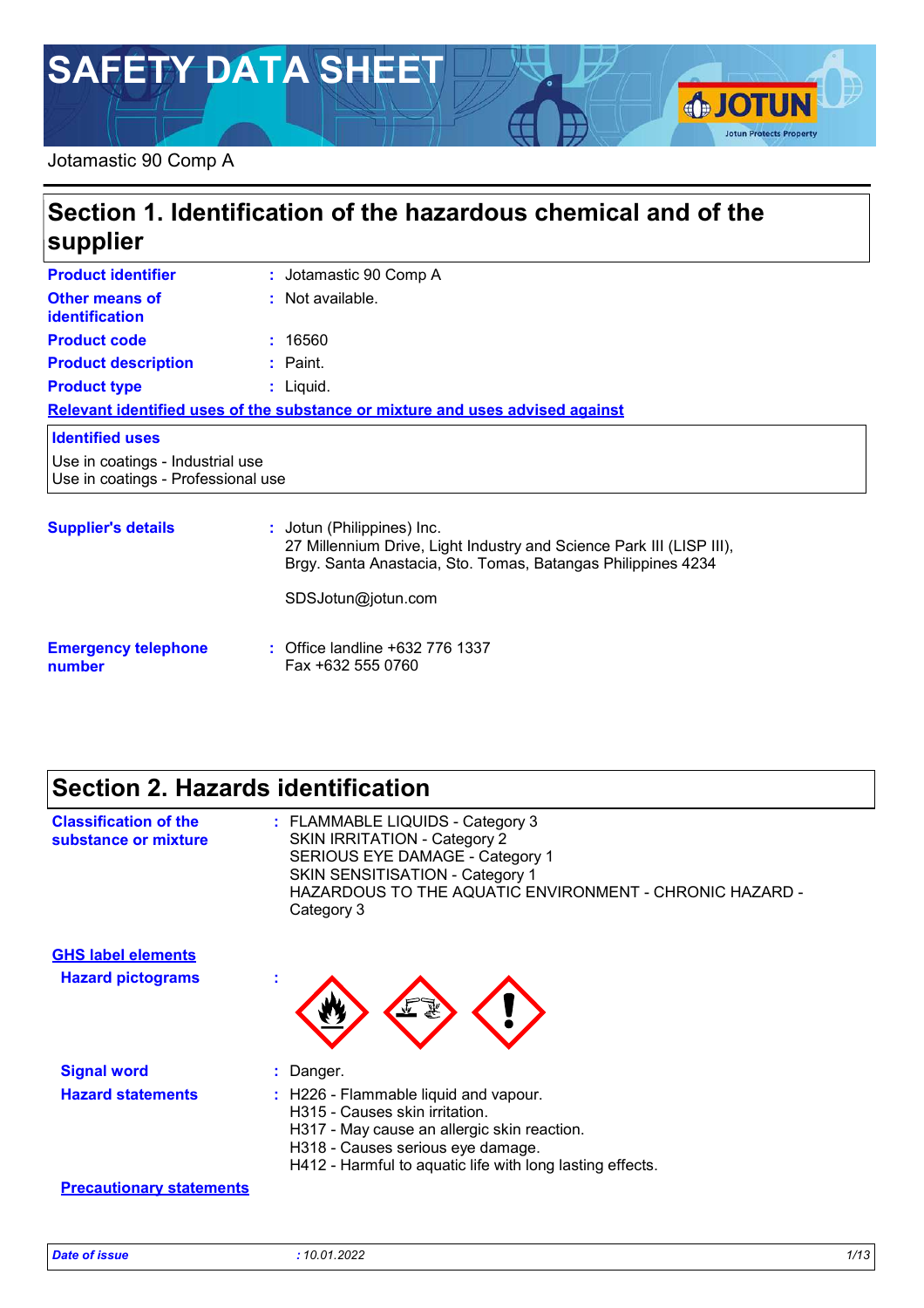# **SAFETY DATA SHEET**

#### Jotamastic 90 Comp A

## **Section 1. Identification of the hazardous chemical and of the supplier**

| <b>Product identifier</b>                                              | : Jotamastic 90 Comp A                                                                             |
|------------------------------------------------------------------------|----------------------------------------------------------------------------------------------------|
| <b>Other means of</b><br><b>identification</b>                         | : Not available.                                                                                   |
| <b>Product code</b>                                                    | : 16560                                                                                            |
| <b>Product description</b>                                             | $:$ Paint.                                                                                         |
| <b>Product type</b>                                                    | $:$ Liquid.                                                                                        |
|                                                                        | Relevant identified uses of the substance or mixture and uses advised against                      |
| <b>Identified uses</b>                                                 |                                                                                                    |
| Use in coatings - Industrial use<br>Use in coatings - Professional use |                                                                                                    |
| <b>Supplier's details</b>                                              | : Jotun (Philippines) Inc.<br>27 Millennium Drive, Light Industry and Science Park III (LISP III), |

Brgy. Santa Anastacia, Sto. Tomas, Batangas Philippines 4234

SDSJotun@jotun.com

#### **Emergency telephone number :** Office landline +632 776 1337 Fax +632 555 0760

## **Section 2. Hazards identification**

| <b>Classification of the</b><br>substance or mixture | : FLAMMABLE LIQUIDS - Category 3<br><b>SKIN IRRITATION - Category 2</b><br>SERIOUS EYE DAMAGE - Category 1<br>SKIN SENSITISATION - Category 1<br>HAZARDOUS TO THE AQUATIC ENVIRONMENT - CHRONIC HAZARD -<br>Category 3 |
|------------------------------------------------------|------------------------------------------------------------------------------------------------------------------------------------------------------------------------------------------------------------------------|
| <b>GHS label elements</b>                            |                                                                                                                                                                                                                        |
| <b>Hazard pictograms</b>                             | $\mathbf{r}$                                                                                                                                                                                                           |
| <b>Signal word</b>                                   | : Danger.                                                                                                                                                                                                              |
| <b>Hazard statements</b>                             | : H226 - Flammable liquid and vapour.<br>H315 - Causes skin irritation.<br>H317 - May cause an allergic skin reaction.                                                                                                 |
|                                                      | H318 - Causes serious eye damage.<br>H412 - Harmful to aquatic life with long lasting effects.                                                                                                                         |
| <b>Precautionary statements</b>                      |                                                                                                                                                                                                                        |

**SJOTUN** 

**Jotun Protects Property**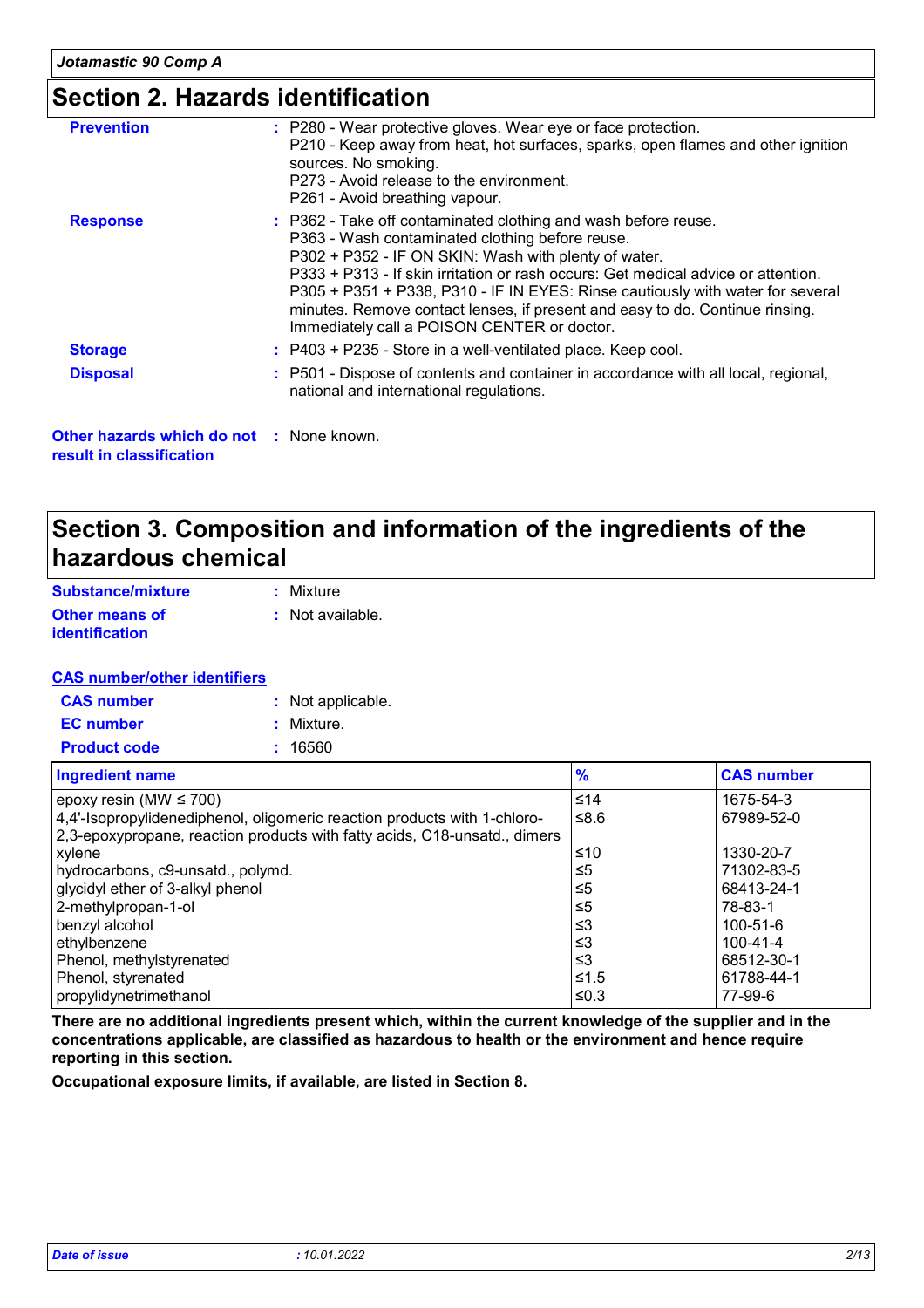## **Section 2. Hazards identification**

| <b>Prevention</b> | : P280 - Wear protective gloves. Wear eye or face protection.<br>P210 - Keep away from heat, hot surfaces, sparks, open flames and other ignition<br>sources. No smoking.<br>P273 - Avoid release to the environment.<br>P261 - Avoid breathing vapour.                                                                                                                                                                                                                         |
|-------------------|---------------------------------------------------------------------------------------------------------------------------------------------------------------------------------------------------------------------------------------------------------------------------------------------------------------------------------------------------------------------------------------------------------------------------------------------------------------------------------|
| <b>Response</b>   | : P362 - Take off contaminated clothing and wash before reuse.<br>P363 - Wash contaminated clothing before reuse.<br>P302 + P352 - IF ON SKIN: Wash with plenty of water.<br>P333 + P313 - If skin irritation or rash occurs: Get medical advice or attention.<br>P305 + P351 + P338, P310 - IF IN EYES: Rinse cautiously with water for several<br>minutes. Remove contact lenses, if present and easy to do. Continue rinsing.<br>Immediately call a POISON CENTER or doctor. |
| <b>Storage</b>    | : P403 + P235 - Store in a well-ventilated place. Keep cool.                                                                                                                                                                                                                                                                                                                                                                                                                    |
| <b>Disposal</b>   | : P501 - Dispose of contents and container in accordance with all local, regional,<br>national and international regulations.                                                                                                                                                                                                                                                                                                                                                   |

**Other hazards which do not :** None known. **result in classification**

### **Section 3. Composition and information of the ingredients of the hazardous chemical**

| Substance/mixture     | : Mixture        |
|-----------------------|------------------|
| <b>Other means of</b> | : Not available. |
| <i>identification</i> |                  |

#### **CAS number/other identifiers**

| <b>CAS number</b>   | : Not applicable. |
|---------------------|-------------------|
| <b>EC</b> number    | : Mixture.        |
| <b>Product code</b> | : 16560           |

| <b>Ingredient name</b>                                                    | $\frac{9}{6}$ | <b>CAS number</b> |
|---------------------------------------------------------------------------|---------------|-------------------|
| epoxy resin (MW $\leq$ 700)                                               | $≤14$         | 1675-54-3         |
| 4,4'-Isopropylidenediphenol, oligomeric reaction products with 1-chloro-  | ≤8.6          | 67989-52-0        |
| 2,3-epoxypropane, reaction products with fatty acids, C18-unsatd., dimers |               |                   |
| xylene                                                                    | ≤10           | 1330-20-7         |
| hydrocarbons, c9-unsatd., polymd.                                         | $\leq 5$      | 71302-83-5        |
| glycidyl ether of 3-alkyl phenol                                          | ≤5            | 68413-24-1        |
| 2-methylpropan-1-ol                                                       | ≤5            | 78-83-1           |
| benzyl alcohol                                                            | $\leq$ 3      | 100-51-6          |
| ethylbenzene                                                              | $\leq$ 3      | 100-41-4          |
| Phenol, methylstyrenated                                                  | $\leq$ 3      | 68512-30-1        |
| Phenol, styrenated                                                        | ≤1.5          | 61788-44-1        |
| propylidynetrimethanol                                                    | ≤0.3          | 77-99-6           |

**There are no additional ingredients present which, within the current knowledge of the supplier and in the concentrations applicable, are classified as hazardous to health or the environment and hence require reporting in this section.**

**Occupational exposure limits, if available, are listed in Section 8.**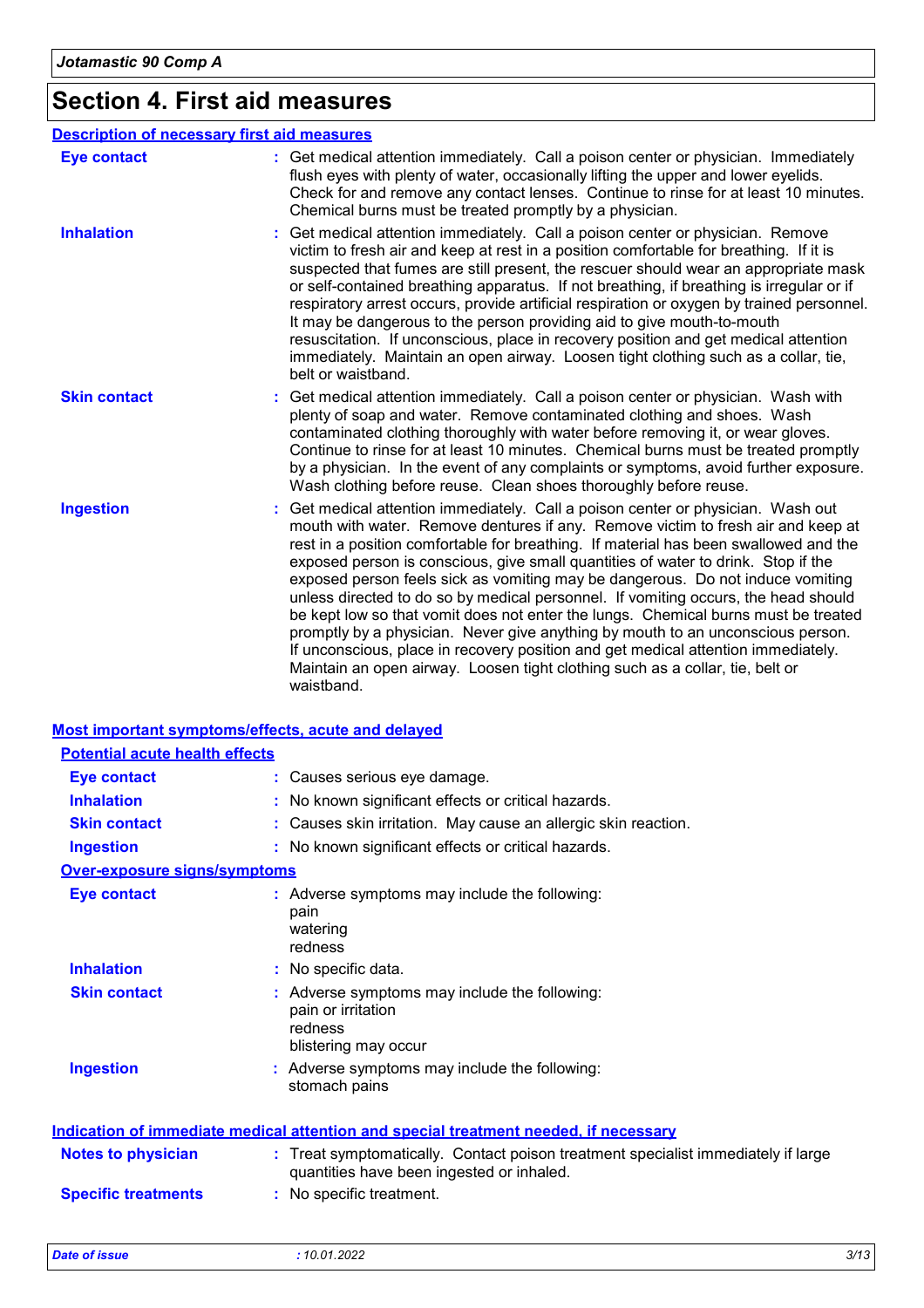# **Section 4. First aid measures**

|                     | <b>Description of necessary first aid measures</b>                                                                                                                                                                                                                                                                                                                                                                                                                                                                                                                                                                                                                                                                                                                                                                                                                                   |
|---------------------|--------------------------------------------------------------------------------------------------------------------------------------------------------------------------------------------------------------------------------------------------------------------------------------------------------------------------------------------------------------------------------------------------------------------------------------------------------------------------------------------------------------------------------------------------------------------------------------------------------------------------------------------------------------------------------------------------------------------------------------------------------------------------------------------------------------------------------------------------------------------------------------|
| <b>Eye contact</b>  | : Get medical attention immediately. Call a poison center or physician. Immediately<br>flush eyes with plenty of water, occasionally lifting the upper and lower eyelids.<br>Check for and remove any contact lenses. Continue to rinse for at least 10 minutes.<br>Chemical burns must be treated promptly by a physician.                                                                                                                                                                                                                                                                                                                                                                                                                                                                                                                                                          |
| <b>Inhalation</b>   | Get medical attention immediately. Call a poison center or physician. Remove<br>victim to fresh air and keep at rest in a position comfortable for breathing. If it is<br>suspected that fumes are still present, the rescuer should wear an appropriate mask<br>or self-contained breathing apparatus. If not breathing, if breathing is irregular or if<br>respiratory arrest occurs, provide artificial respiration or oxygen by trained personnel.<br>It may be dangerous to the person providing aid to give mouth-to-mouth<br>resuscitation. If unconscious, place in recovery position and get medical attention<br>immediately. Maintain an open airway. Loosen tight clothing such as a collar, tie,<br>belt or waistband.                                                                                                                                                  |
| <b>Skin contact</b> | Get medical attention immediately. Call a poison center or physician. Wash with<br>plenty of soap and water. Remove contaminated clothing and shoes. Wash<br>contaminated clothing thoroughly with water before removing it, or wear gloves.<br>Continue to rinse for at least 10 minutes. Chemical burns must be treated promptly<br>by a physician. In the event of any complaints or symptoms, avoid further exposure.<br>Wash clothing before reuse. Clean shoes thoroughly before reuse.                                                                                                                                                                                                                                                                                                                                                                                        |
| <b>Ingestion</b>    | Get medical attention immediately. Call a poison center or physician. Wash out<br>mouth with water. Remove dentures if any. Remove victim to fresh air and keep at<br>rest in a position comfortable for breathing. If material has been swallowed and the<br>exposed person is conscious, give small quantities of water to drink. Stop if the<br>exposed person feels sick as vomiting may be dangerous. Do not induce vomiting<br>unless directed to do so by medical personnel. If vomiting occurs, the head should<br>be kept low so that vomit does not enter the lungs. Chemical burns must be treated<br>promptly by a physician. Never give anything by mouth to an unconscious person.<br>If unconscious, place in recovery position and get medical attention immediately.<br>Maintain an open airway. Loosen tight clothing such as a collar, tie, belt or<br>waistband. |

#### **Most important symptoms/effects, acute and delayed**

| <b>Potential acute health effects</b> |                                                                                                                                |
|---------------------------------------|--------------------------------------------------------------------------------------------------------------------------------|
| <b>Eye contact</b>                    | : Causes serious eye damage.                                                                                                   |
| <b>Inhalation</b>                     | No known significant effects or critical hazards.                                                                              |
| <b>Skin contact</b>                   | Causes skin irritation. May cause an allergic skin reaction.                                                                   |
| <b>Ingestion</b>                      | : No known significant effects or critical hazards.                                                                            |
| <b>Over-exposure signs/symptoms</b>   |                                                                                                                                |
| <b>Eye contact</b>                    | : Adverse symptoms may include the following:<br>pain<br>watering<br>redness                                                   |
| <b>Inhalation</b>                     | : No specific data.                                                                                                            |
| <b>Skin contact</b>                   | : Adverse symptoms may include the following:<br>pain or irritation<br>redness<br>blistering may occur                         |
| <b>Ingestion</b>                      | : Adverse symptoms may include the following:<br>stomach pains                                                                 |
|                                       | <b>Indication of immediate medical attention and special treatment needed, if necessary</b>                                    |
| <b>Notes to physician</b>             | : Treat symptomatically. Contact poison treatment specialist immediately if large<br>quantities have been ingested or inhaled. |
| <b>Specific treatments</b>            | : No specific treatment.                                                                                                       |
|                                       |                                                                                                                                |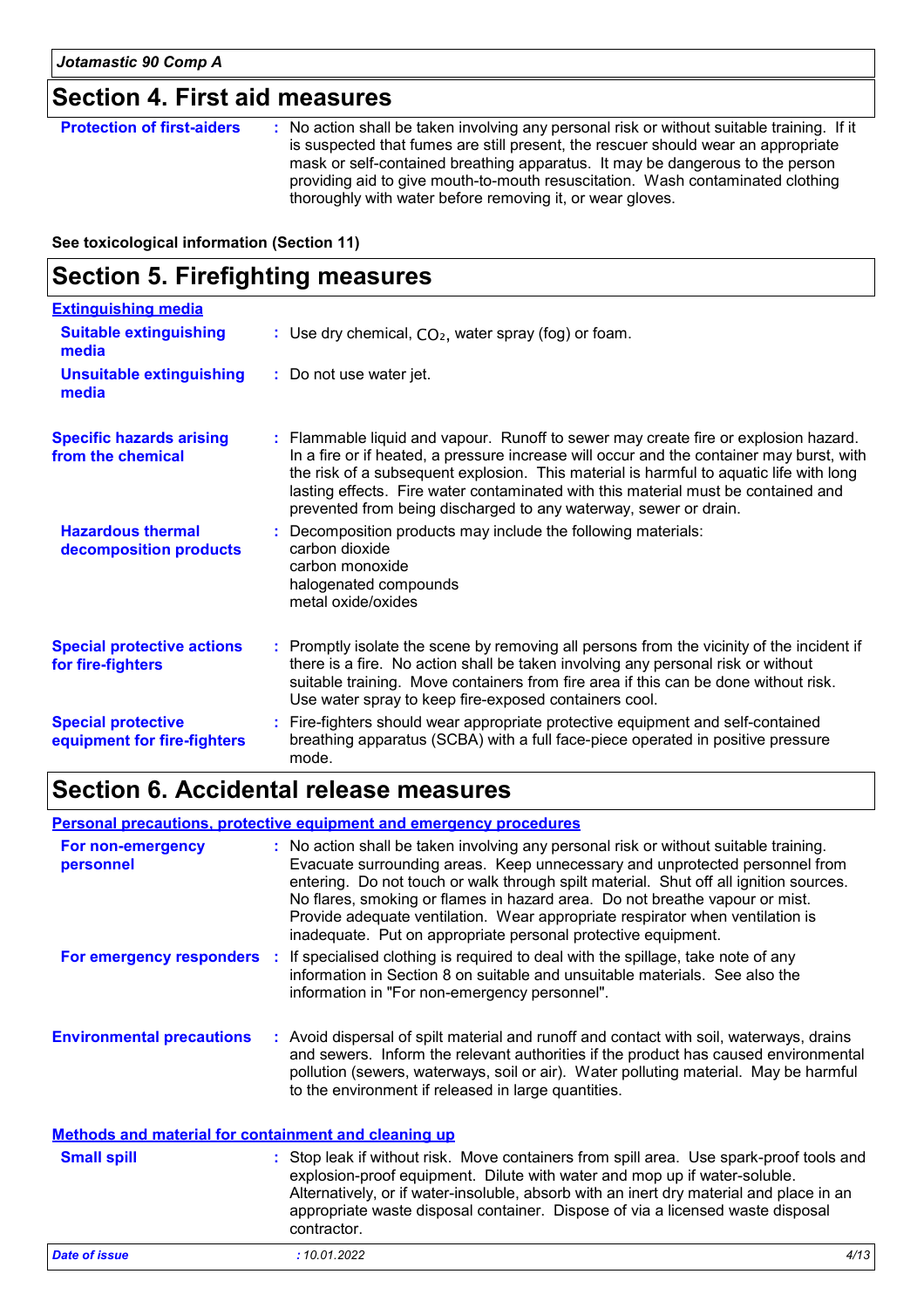### **Section 4. First aid measures**

| <b>Protection of first-aiders</b> | : No action shall be taken involving any personal risk or without suitable training. If it<br>is suspected that fumes are still present, the rescuer should wear an appropriate<br>mask or self-contained breathing apparatus. It may be dangerous to the person<br>providing aid to give mouth-to-mouth resuscitation. Wash contaminated clothing<br>thoroughly with water before removing it, or wear gloves. |
|-----------------------------------|-----------------------------------------------------------------------------------------------------------------------------------------------------------------------------------------------------------------------------------------------------------------------------------------------------------------------------------------------------------------------------------------------------------------|
|-----------------------------------|-----------------------------------------------------------------------------------------------------------------------------------------------------------------------------------------------------------------------------------------------------------------------------------------------------------------------------------------------------------------------------------------------------------------|

**See toxicological information (Section 11)**

## **Section 5. Firefighting measures**

| <b>Extinguishing media</b>                               |                                                                                                                                                                                                                                                                                                                                                                                                                                    |
|----------------------------------------------------------|------------------------------------------------------------------------------------------------------------------------------------------------------------------------------------------------------------------------------------------------------------------------------------------------------------------------------------------------------------------------------------------------------------------------------------|
| <b>Suitable extinguishing</b><br>media                   | : Use dry chemical, $CO2$ , water spray (fog) or foam.                                                                                                                                                                                                                                                                                                                                                                             |
| <b>Unsuitable extinguishing</b><br>media                 | : Do not use water jet.                                                                                                                                                                                                                                                                                                                                                                                                            |
| <b>Specific hazards arising</b><br>from the chemical     | : Flammable liquid and vapour. Runoff to sewer may create fire or explosion hazard.<br>In a fire or if heated, a pressure increase will occur and the container may burst, with<br>the risk of a subsequent explosion. This material is harmful to aquatic life with long<br>lasting effects. Fire water contaminated with this material must be contained and<br>prevented from being discharged to any waterway, sewer or drain. |
| <b>Hazardous thermal</b><br>decomposition products       | : Decomposition products may include the following materials:<br>carbon dioxide<br>carbon monoxide<br>halogenated compounds<br>metal oxide/oxides                                                                                                                                                                                                                                                                                  |
| <b>Special protective actions</b><br>for fire-fighters   | : Promptly isolate the scene by removing all persons from the vicinity of the incident if<br>there is a fire. No action shall be taken involving any personal risk or without<br>suitable training. Move containers from fire area if this can be done without risk.<br>Use water spray to keep fire-exposed containers cool.                                                                                                      |
| <b>Special protective</b><br>equipment for fire-fighters | : Fire-fighters should wear appropriate protective equipment and self-contained<br>breathing apparatus (SCBA) with a full face-piece operated in positive pressure<br>mode.                                                                                                                                                                                                                                                        |

### **Section 6. Accidental release measures**

**Environmental precautions Personal precautions, protective equipment and emergency procedures :** Avoid dispersal of spilt material and runoff and contact with soil, waterways, drains **:** No action shall be taken involving any personal risk or without suitable training. Evacuate surrounding areas. Keep unnecessary and unprotected personnel from entering. Do not touch or walk through spilt material. Shut off all ignition sources. No flares, smoking or flames in hazard area. Do not breathe vapour or mist. Provide adequate ventilation. Wear appropriate respirator when ventilation is inadequate. Put on appropriate personal protective equipment. and sewers. Inform the relevant authorities if the product has caused environmental pollution (sewers, waterways, soil or air). Water polluting material. May be harmful to the environment if released in large quantities. **Methods and material for containment and cleaning up For non-emergency personnel For emergency responders :** If specialised clothing is required to deal with the spillage, take note of any information in Section 8 on suitable and unsuitable materials. See also the information in "For non-emergency personnel".

| <b>Small spill</b>   | : Stop leak if without risk. Move containers from spill area. Use spark-proof tools and<br>explosion-proof equipment. Dilute with water and mop up if water-soluble.<br>Alternatively, or if water-insoluble, absorb with an inert dry material and place in an<br>appropriate waste disposal container. Dispose of via a licensed waste disposal<br>contractor. |
|----------------------|------------------------------------------------------------------------------------------------------------------------------------------------------------------------------------------------------------------------------------------------------------------------------------------------------------------------------------------------------------------|
| <b>Date of issue</b> | 4/13<br>:10.01.2022                                                                                                                                                                                                                                                                                                                                              |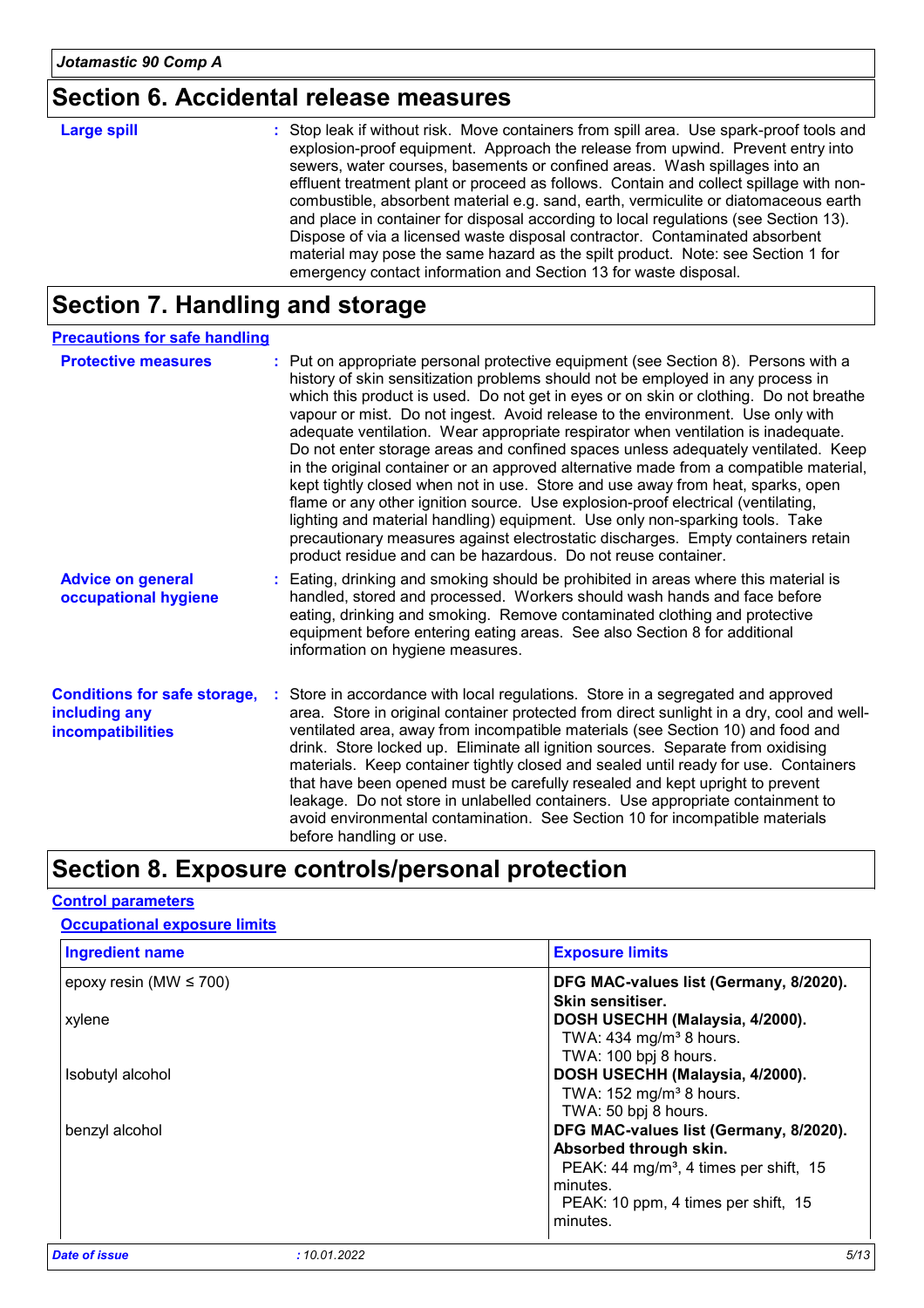### **Section 6. Accidental release measures**

| <b>Large spill</b> | : Stop leak if without risk. Move containers from spill area. Use spark-proof tools and<br>explosion-proof equipment. Approach the release from upwind. Prevent entry into<br>sewers, water courses, basements or confined areas. Wash spillages into an<br>effluent treatment plant or proceed as follows. Contain and collect spillage with non-<br>combustible, absorbent material e.g. sand, earth, vermiculite or diatomaceous earth<br>and place in container for disposal according to local regulations (see Section 13).<br>Dispose of via a licensed waste disposal contractor. Contaminated absorbent<br>material may pose the same hazard as the spilt product. Note: see Section 1 for |
|--------------------|-----------------------------------------------------------------------------------------------------------------------------------------------------------------------------------------------------------------------------------------------------------------------------------------------------------------------------------------------------------------------------------------------------------------------------------------------------------------------------------------------------------------------------------------------------------------------------------------------------------------------------------------------------------------------------------------------------|
|                    | emergency contact information and Section 13 for waste disposal.                                                                                                                                                                                                                                                                                                                                                                                                                                                                                                                                                                                                                                    |

### **Section 7. Handling and storage**

| <b>Precautions for safe handling</b>                                             |                                                                                                                                                                                                                                                                                                                                                                                                                                                                                                                                                                                                                                                                                                                                                                                                                                                                                                                                                                                                                                 |
|----------------------------------------------------------------------------------|---------------------------------------------------------------------------------------------------------------------------------------------------------------------------------------------------------------------------------------------------------------------------------------------------------------------------------------------------------------------------------------------------------------------------------------------------------------------------------------------------------------------------------------------------------------------------------------------------------------------------------------------------------------------------------------------------------------------------------------------------------------------------------------------------------------------------------------------------------------------------------------------------------------------------------------------------------------------------------------------------------------------------------|
| <b>Protective measures</b>                                                       | : Put on appropriate personal protective equipment (see Section 8). Persons with a<br>history of skin sensitization problems should not be employed in any process in<br>which this product is used. Do not get in eyes or on skin or clothing. Do not breathe<br>vapour or mist. Do not ingest. Avoid release to the environment. Use only with<br>adequate ventilation. Wear appropriate respirator when ventilation is inadequate.<br>Do not enter storage areas and confined spaces unless adequately ventilated. Keep<br>in the original container or an approved alternative made from a compatible material,<br>kept tightly closed when not in use. Store and use away from heat, sparks, open<br>flame or any other ignition source. Use explosion-proof electrical (ventilating,<br>lighting and material handling) equipment. Use only non-sparking tools. Take<br>precautionary measures against electrostatic discharges. Empty containers retain<br>product residue and can be hazardous. Do not reuse container. |
| <b>Advice on general</b><br>occupational hygiene                                 | : Eating, drinking and smoking should be prohibited in areas where this material is<br>handled, stored and processed. Workers should wash hands and face before<br>eating, drinking and smoking. Remove contaminated clothing and protective<br>equipment before entering eating areas. See also Section 8 for additional<br>information on hygiene measures.                                                                                                                                                                                                                                                                                                                                                                                                                                                                                                                                                                                                                                                                   |
| <b>Conditions for safe storage,</b><br>including any<br><b>incompatibilities</b> | : Store in accordance with local regulations. Store in a segregated and approved<br>area. Store in original container protected from direct sunlight in a dry, cool and well-<br>ventilated area, away from incompatible materials (see Section 10) and food and<br>drink. Store locked up. Eliminate all ignition sources. Separate from oxidising<br>materials. Keep container tightly closed and sealed until ready for use. Containers<br>that have been opened must be carefully resealed and kept upright to prevent<br>leakage. Do not store in unlabelled containers. Use appropriate containment to<br>avoid environmental contamination. See Section 10 for incompatible materials<br>before handling or use.                                                                                                                                                                                                                                                                                                         |

### **Section 8. Exposure controls/personal protection**

#### epoxy resin (MW ≤ 700) **DFG MAC-values list (Germany, 8/2020). Skin sensitiser.** xylene **DOSH USECHH (Malaysia, 4/2000).** TWA:  $434$  mg/m<sup>3</sup> 8 hours. TWA: 100 bpj 8 hours. Isobutyl alcohol **DOSH USECHH (Malaysia, 4/2000).** TWA:  $152$  mg/m<sup>3</sup> 8 hours. TWA: 50 bpj 8 hours. benzyl alcohol **DFG MAC-values list (Germany, 8/2020). Ingredient name Exposure limits Control parameters Occupational exposure limits**

 PEAK: 10 ppm, 4 times per shift, 15 minutes. *Date of issue : 10.01.2022 5/13*

minutes.

**Absorbed through skin.**

PEAK: 44 mg/m<sup>3</sup>, 4 times per shift, 15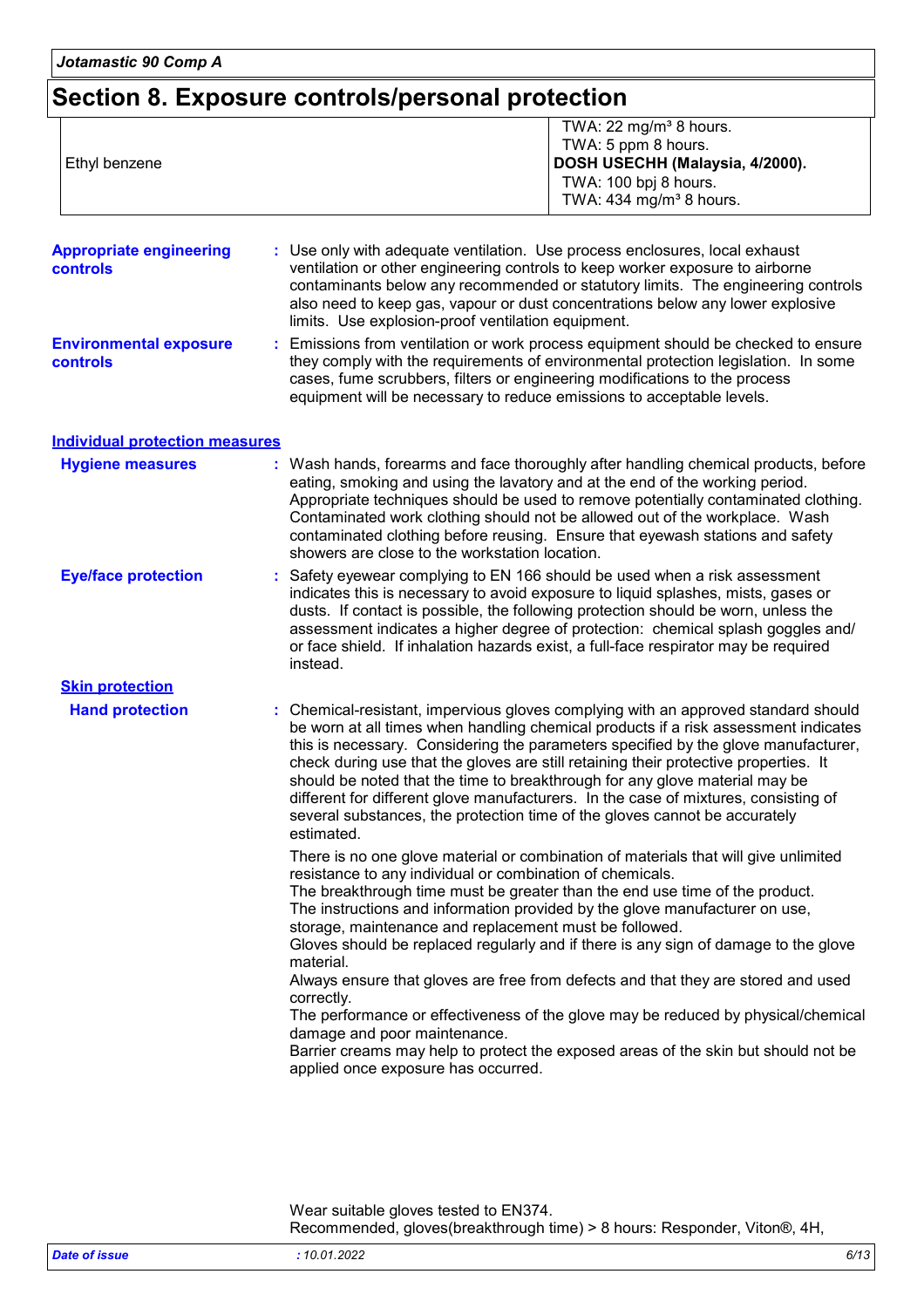## **Section 8. Exposure controls/personal protection**

| Ethyl benzene                                     | TWA: 22 mg/m <sup>3</sup> 8 hours.<br>TWA: 5 ppm 8 hours.<br>DOSH USECHH (Malaysia, 4/2000).<br>TWA: 100 bpj 8 hours.<br>TWA: 434 mg/m <sup>3</sup> 8 hours.                                                                                                                                                                                                                                                                                                                                                                                                                                                                                                                                                                                                                                                                      |  |  |
|---------------------------------------------------|-----------------------------------------------------------------------------------------------------------------------------------------------------------------------------------------------------------------------------------------------------------------------------------------------------------------------------------------------------------------------------------------------------------------------------------------------------------------------------------------------------------------------------------------------------------------------------------------------------------------------------------------------------------------------------------------------------------------------------------------------------------------------------------------------------------------------------------|--|--|
| <b>Appropriate engineering</b><br><b>controls</b> | : Use only with adequate ventilation. Use process enclosures, local exhaust<br>ventilation or other engineering controls to keep worker exposure to airborne<br>contaminants below any recommended or statutory limits. The engineering controls<br>also need to keep gas, vapour or dust concentrations below any lower explosive<br>limits. Use explosion-proof ventilation equipment.                                                                                                                                                                                                                                                                                                                                                                                                                                          |  |  |
| <b>Environmental exposure</b><br>controls         | Emissions from ventilation or work process equipment should be checked to ensure<br>they comply with the requirements of environmental protection legislation. In some<br>cases, fume scrubbers, filters or engineering modifications to the process<br>equipment will be necessary to reduce emissions to acceptable levels.                                                                                                                                                                                                                                                                                                                                                                                                                                                                                                     |  |  |
| <b>Individual protection measures</b>             |                                                                                                                                                                                                                                                                                                                                                                                                                                                                                                                                                                                                                                                                                                                                                                                                                                   |  |  |
| <b>Hygiene measures</b>                           | : Wash hands, forearms and face thoroughly after handling chemical products, before<br>eating, smoking and using the lavatory and at the end of the working period.<br>Appropriate techniques should be used to remove potentially contaminated clothing.<br>Contaminated work clothing should not be allowed out of the workplace. Wash<br>contaminated clothing before reusing. Ensure that eyewash stations and safety<br>showers are close to the workstation location.                                                                                                                                                                                                                                                                                                                                                       |  |  |
| <b>Eye/face protection</b>                        | Safety eyewear complying to EN 166 should be used when a risk assessment<br>indicates this is necessary to avoid exposure to liquid splashes, mists, gases or<br>dusts. If contact is possible, the following protection should be worn, unless the<br>assessment indicates a higher degree of protection: chemical splash goggles and/<br>or face shield. If inhalation hazards exist, a full-face respirator may be required<br>instead.                                                                                                                                                                                                                                                                                                                                                                                        |  |  |
| <b>Skin protection</b>                            |                                                                                                                                                                                                                                                                                                                                                                                                                                                                                                                                                                                                                                                                                                                                                                                                                                   |  |  |
| <b>Hand protection</b>                            | : Chemical-resistant, impervious gloves complying with an approved standard should<br>be worn at all times when handling chemical products if a risk assessment indicates<br>this is necessary. Considering the parameters specified by the glove manufacturer,<br>check during use that the gloves are still retaining their protective properties. It<br>should be noted that the time to breakthrough for any glove material may be<br>different for different glove manufacturers. In the case of mixtures, consisting of<br>several substances, the protection time of the gloves cannot be accurately<br>estimated.                                                                                                                                                                                                         |  |  |
|                                                   | There is no one glove material or combination of materials that will give unlimited<br>resistance to any individual or combination of chemicals.<br>The breakthrough time must be greater than the end use time of the product.<br>The instructions and information provided by the glove manufacturer on use,<br>storage, maintenance and replacement must be followed.<br>Gloves should be replaced regularly and if there is any sign of damage to the glove<br>material.<br>Always ensure that gloves are free from defects and that they are stored and used<br>correctly.<br>The performance or effectiveness of the glove may be reduced by physical/chemical<br>damage and poor maintenance.<br>Barrier creams may help to protect the exposed areas of the skin but should not be<br>applied once exposure has occurred. |  |  |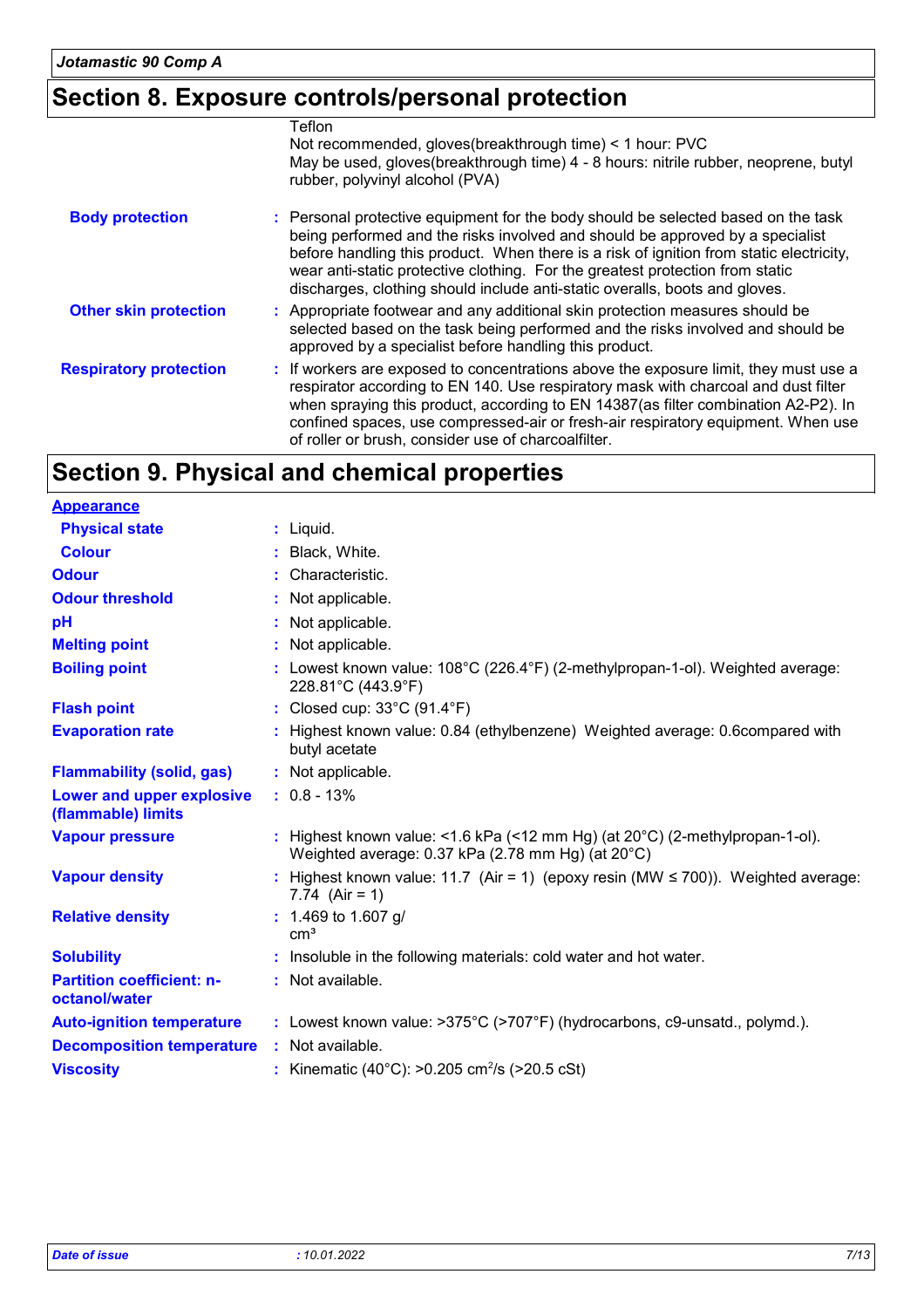## **Section 8. Exposure controls/personal protection**

|                               | Teflon                                                                                                                                                                                                                                                                                                                                                                                                                        |
|-------------------------------|-------------------------------------------------------------------------------------------------------------------------------------------------------------------------------------------------------------------------------------------------------------------------------------------------------------------------------------------------------------------------------------------------------------------------------|
|                               | Not recommended, gloves (breakthrough time) < 1 hour: PVC                                                                                                                                                                                                                                                                                                                                                                     |
|                               | May be used, gloves(breakthrough time) 4 - 8 hours: nitrile rubber, neoprene, butyl<br>rubber, polyvinyl alcohol (PVA)                                                                                                                                                                                                                                                                                                        |
| <b>Body protection</b>        | : Personal protective equipment for the body should be selected based on the task<br>being performed and the risks involved and should be approved by a specialist<br>before handling this product. When there is a risk of ignition from static electricity,<br>wear anti-static protective clothing. For the greatest protection from static<br>discharges, clothing should include anti-static overalls, boots and gloves. |
| <b>Other skin protection</b>  | : Appropriate footwear and any additional skin protection measures should be<br>selected based on the task being performed and the risks involved and should be<br>approved by a specialist before handling this product.                                                                                                                                                                                                     |
| <b>Respiratory protection</b> | : If workers are exposed to concentrations above the exposure limit, they must use a<br>respirator according to EN 140. Use respiratory mask with charcoal and dust filter<br>when spraying this product, according to EN 14387(as filter combination A2-P2). In<br>confined spaces, use compressed-air or fresh-air respiratory equipment. When use<br>of roller or brush, consider use of charcoalfilter.                   |

## **Section 9. Physical and chemical properties**

| <b>Appearance</b>                                 |                                                                                                                                             |
|---------------------------------------------------|---------------------------------------------------------------------------------------------------------------------------------------------|
| <b>Physical state</b>                             | $:$ Liquid.                                                                                                                                 |
| <b>Colour</b>                                     | : Black, White.                                                                                                                             |
| <b>Odour</b>                                      | : Characteristic.                                                                                                                           |
| <b>Odour threshold</b>                            | : Not applicable.                                                                                                                           |
| pH                                                | : Not applicable.                                                                                                                           |
| <b>Melting point</b>                              | : Not applicable.                                                                                                                           |
| <b>Boiling point</b>                              | : Lowest known value: $108^{\circ}$ C (226.4 $^{\circ}$ F) (2-methylpropan-1-ol). Weighted average:<br>228.81°C (443.9°F)                   |
| <b>Flash point</b>                                | : Closed cup: 33°C (91.4°F)                                                                                                                 |
| <b>Evaporation rate</b>                           | : Highest known value: 0.84 (ethylbenzene) Weighted average: 0.6compared with<br>butyl acetate                                              |
| <b>Flammability (solid, gas)</b>                  | : Not applicable.                                                                                                                           |
| Lower and upper explosive<br>(flammable) limits   | $: 0.8 - 13\%$                                                                                                                              |
| <b>Vapour pressure</b>                            | : Highest known value: <1.6 kPa (<12 mm Hg) (at $20^{\circ}$ C) (2-methylpropan-1-ol).<br>Weighted average: 0.37 kPa (2.78 mm Hg) (at 20°C) |
| <b>Vapour density</b>                             | : Highest known value: 11.7 (Air = 1) (epoxy resin (MW $\leq$ 700)). Weighted average:<br>7.74 $(Air = 1)$                                  |
| <b>Relative density</b>                           | $: 1.469$ to 1.607 g/<br>cm <sup>3</sup>                                                                                                    |
| <b>Solubility</b>                                 | : Insoluble in the following materials: cold water and hot water.                                                                           |
| <b>Partition coefficient: n-</b><br>octanol/water | : Not available.                                                                                                                            |
| <b>Auto-ignition temperature</b>                  | : Lowest known value: >375°C (>707°F) (hydrocarbons, c9-unsatd., polymd.).                                                                  |
| <b>Decomposition temperature</b>                  | : Not available.                                                                                                                            |
| <b>Viscosity</b>                                  | : Kinematic (40°C): >0.205 cm <sup>2</sup> /s (>20.5 cSt)                                                                                   |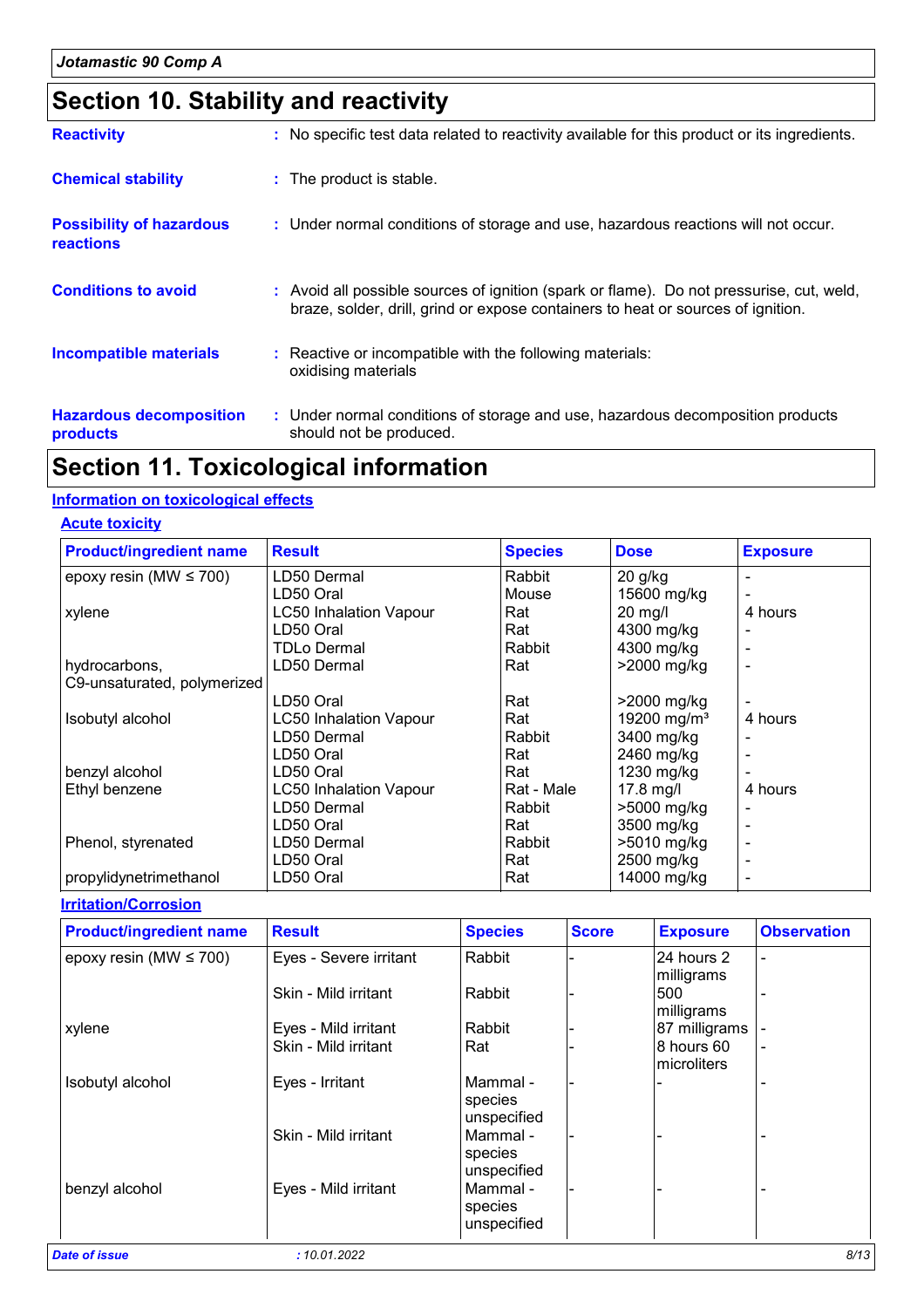## **Section 10. Stability and reactivity**

| <b>Reactivity</b>                            | : No specific test data related to reactivity available for this product or its ingredients.                                                                                 |
|----------------------------------------------|------------------------------------------------------------------------------------------------------------------------------------------------------------------------------|
| <b>Chemical stability</b>                    | : The product is stable.                                                                                                                                                     |
| <b>Possibility of hazardous</b><br>reactions | : Under normal conditions of storage and use, hazardous reactions will not occur.                                                                                            |
| <b>Conditions to avoid</b>                   | : Avoid all possible sources of ignition (spark or flame). Do not pressurise, cut, weld,<br>braze, solder, drill, grind or expose containers to heat or sources of ignition. |
| <b>Incompatible materials</b>                | : Reactive or incompatible with the following materials:<br>oxidising materials                                                                                              |
| <b>Hazardous decomposition</b><br>products   | : Under normal conditions of storage and use, hazardous decomposition products<br>should not be produced.                                                                    |

### **Section 11. Toxicological information**

#### **Information on toxicological effects**

#### **Acute toxicity**

| <b>Product/ingredient name</b> | <b>Result</b>                 | <b>Species</b> | <b>Dose</b>             | <b>Exposure</b> |
|--------------------------------|-------------------------------|----------------|-------------------------|-----------------|
| epoxy resin (MW $\leq$ 700)    | LD50 Dermal                   | Rabbit         | $20$ g/kg               |                 |
|                                | LD50 Oral                     | Mouse          | 15600 mg/kg             |                 |
| xylene                         | <b>LC50 Inhalation Vapour</b> | Rat            | 20 mg/l                 | 4 hours         |
|                                | LD50 Oral                     | Rat            | 4300 mg/kg              |                 |
|                                | <b>TDLo Dermal</b>            | Rabbit         | 4300 mg/kg              |                 |
| hydrocarbons,                  | LD50 Dermal                   | Rat            | >2000 mg/kg             |                 |
| C9-unsaturated, polymerized    |                               |                |                         |                 |
|                                | LD50 Oral                     | Rat            | >2000 mg/kg             |                 |
| Isobutyl alcohol               | <b>LC50 Inhalation Vapour</b> | Rat            | 19200 mg/m <sup>3</sup> | 4 hours         |
|                                | LD50 Dermal                   | Rabbit         | 3400 mg/kg              |                 |
|                                | LD50 Oral                     | Rat            | 2460 mg/kg              |                 |
| benzyl alcohol                 | LD50 Oral                     | Rat            | 1230 mg/kg              |                 |
| Ethyl benzene                  | <b>LC50 Inhalation Vapour</b> | Rat - Male     | $17.8$ mg/l             | 4 hours         |
|                                | LD50 Dermal                   | Rabbit         | >5000 mg/kg             |                 |
|                                | LD50 Oral                     | Rat            | 3500 mg/kg              |                 |
| Phenol, styrenated             | LD50 Dermal                   | Rabbit         | >5010 mg/kg             |                 |
|                                | LD50 Oral                     | Rat            | 2500 mg/kg              |                 |
| propylidynetrimethanol         | LD50 Oral                     | Rat            | 14000 mg/kg             |                 |

#### **Irritation/Corrosion**

| <b>Product/ingredient name</b> | <b>Result</b>          | <b>Species</b>                     | <b>Score</b> | <b>Exposure</b>            | <b>Observation</b> |
|--------------------------------|------------------------|------------------------------------|--------------|----------------------------|--------------------|
| epoxy resin (MW $\leq$ 700)    | Eyes - Severe irritant | Rabbit                             |              | 24 hours 2<br>milligrams   |                    |
|                                | Skin - Mild irritant   | Rabbit                             |              | 500<br>milligrams          |                    |
| xylene                         | Eyes - Mild irritant   | Rabbit                             |              | 87 milligrams              |                    |
|                                | Skin - Mild irritant   | Rat                                |              | 8 hours 60<br>Imicroliters |                    |
| Isobutyl alcohol               | Eyes - Irritant        | Mammal -<br>species<br>unspecified |              |                            |                    |
|                                | Skin - Mild irritant   | Mammal -<br>species<br>unspecified |              |                            |                    |
| benzyl alcohol                 | Eyes - Mild irritant   | Mammal -<br>species<br>unspecified |              |                            |                    |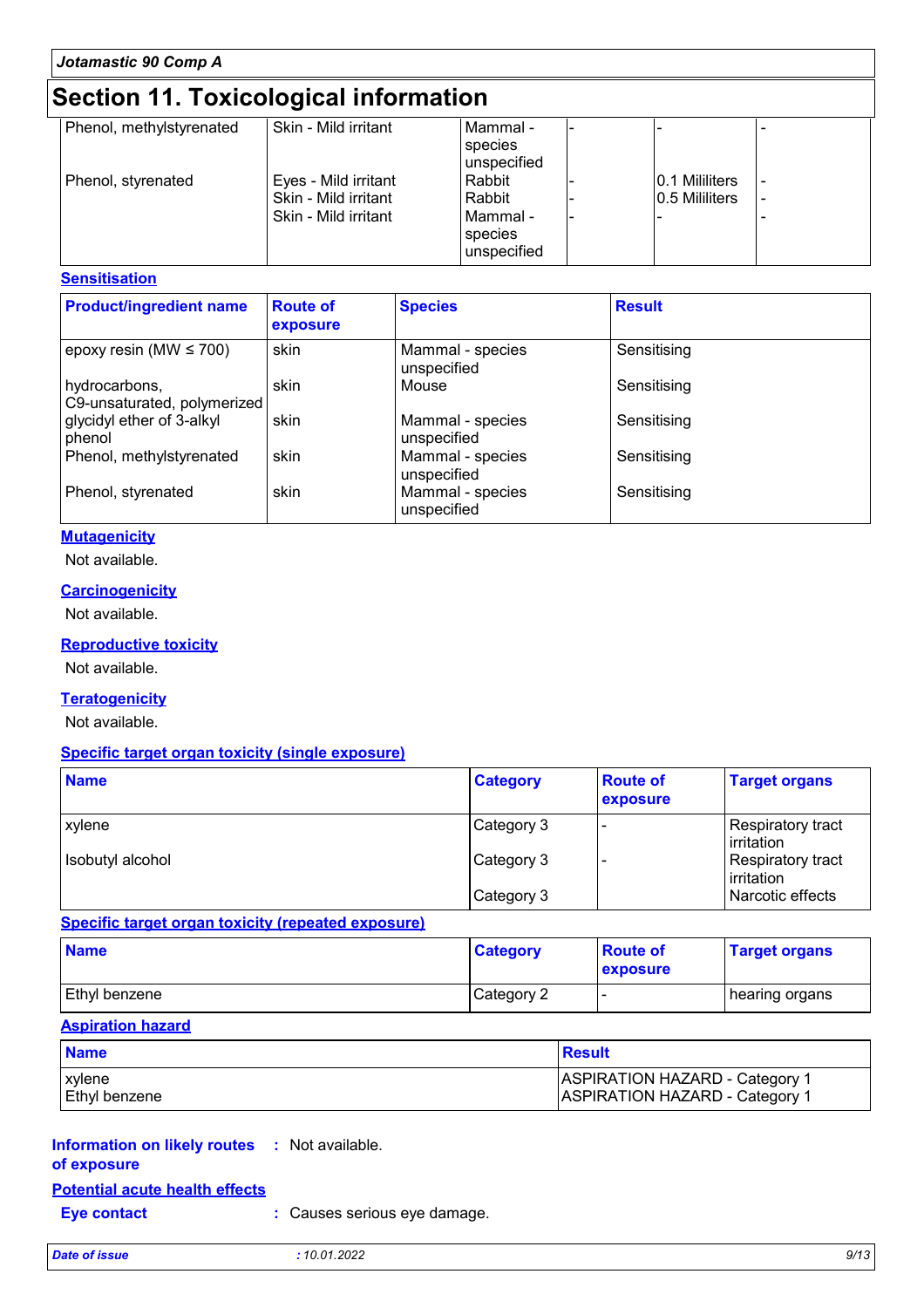## **Section 11. Toxicological information**

| Phenol, methylstyrenated | Skin - Mild irritant | Mammal -     |                 |  |
|--------------------------|----------------------|--------------|-----------------|--|
|                          |                      | species      |                 |  |
|                          |                      | lunspecified |                 |  |
| Phenol, styrenated       | Eyes - Mild irritant | Rabbit       | 0.1 Mililiters  |  |
|                          | Skin - Mild irritant | Rabbit       | 10.5 Mililiters |  |
|                          | Skin - Mild irritant | l Mammal -   |                 |  |
|                          |                      | species      |                 |  |
|                          |                      | unspecified  |                 |  |
|                          |                      |              |                 |  |

#### **Sensitisation**

| <b>Product/ingredient name</b>               | <b>Route of</b><br>exposure | <b>Species</b>                  | <b>Result</b> |
|----------------------------------------------|-----------------------------|---------------------------------|---------------|
| epoxy resin (MW $\leq$ 700)                  | skin                        | Mammal - species<br>unspecified | Sensitising   |
| hydrocarbons,<br>C9-unsaturated, polymerized | skin                        | Mouse                           | Sensitising   |
| glycidyl ether of 3-alkyl<br>phenol          | skin                        | Mammal - species<br>unspecified | Sensitising   |
| Phenol, methylstyrenated                     | skin                        | Mammal - species<br>unspecified | Sensitising   |
| Phenol, styrenated                           | skin                        | Mammal - species<br>unspecified | Sensitising   |

#### **Mutagenicity**

Not available.

#### **Carcinogenicity**

Not available.

#### **Reproductive toxicity**

Not available.

#### **Teratogenicity**

Not available.

#### **Specific target organ toxicity (single exposure)**

| <b>Name</b>      | <b>Category</b> | <b>Route of</b><br>exposure | <b>Target organs</b>                     |
|------------------|-----------------|-----------------------------|------------------------------------------|
| <b>xylene</b>    | Category 3      |                             | Respiratory tract<br><b>l</b> irritation |
| Isobutyl alcohol | Category 3      |                             | Respiratory tract<br>irritation          |
|                  | Category 3      |                             | Narcotic effects                         |

**Specific target organ toxicity (repeated exposure)**

| <b>Name</b>          | <b>Category</b> | <b>Route of</b><br><b>exposure</b> | <b>Target organs</b> |
|----------------------|-----------------|------------------------------------|----------------------|
| <b>Ethyl benzene</b> | Category 2      |                                    | ∣ hearing organs     |

#### **Aspiration hazard**

| <b>Name</b>   | Result                                |
|---------------|---------------------------------------|
| <b>xvlene</b> | <b>ASPIRATION HAZARD - Category 1</b> |
| Ethyl benzene | <b>ASPIRATION HAZARD - Category 1</b> |

#### **Information on likely routes :** Not available. **of exposure**

#### **Potential acute health effects**

| <b>Eye contact</b> | : Causes serious eye damage. |
|--------------------|------------------------------|
|--------------------|------------------------------|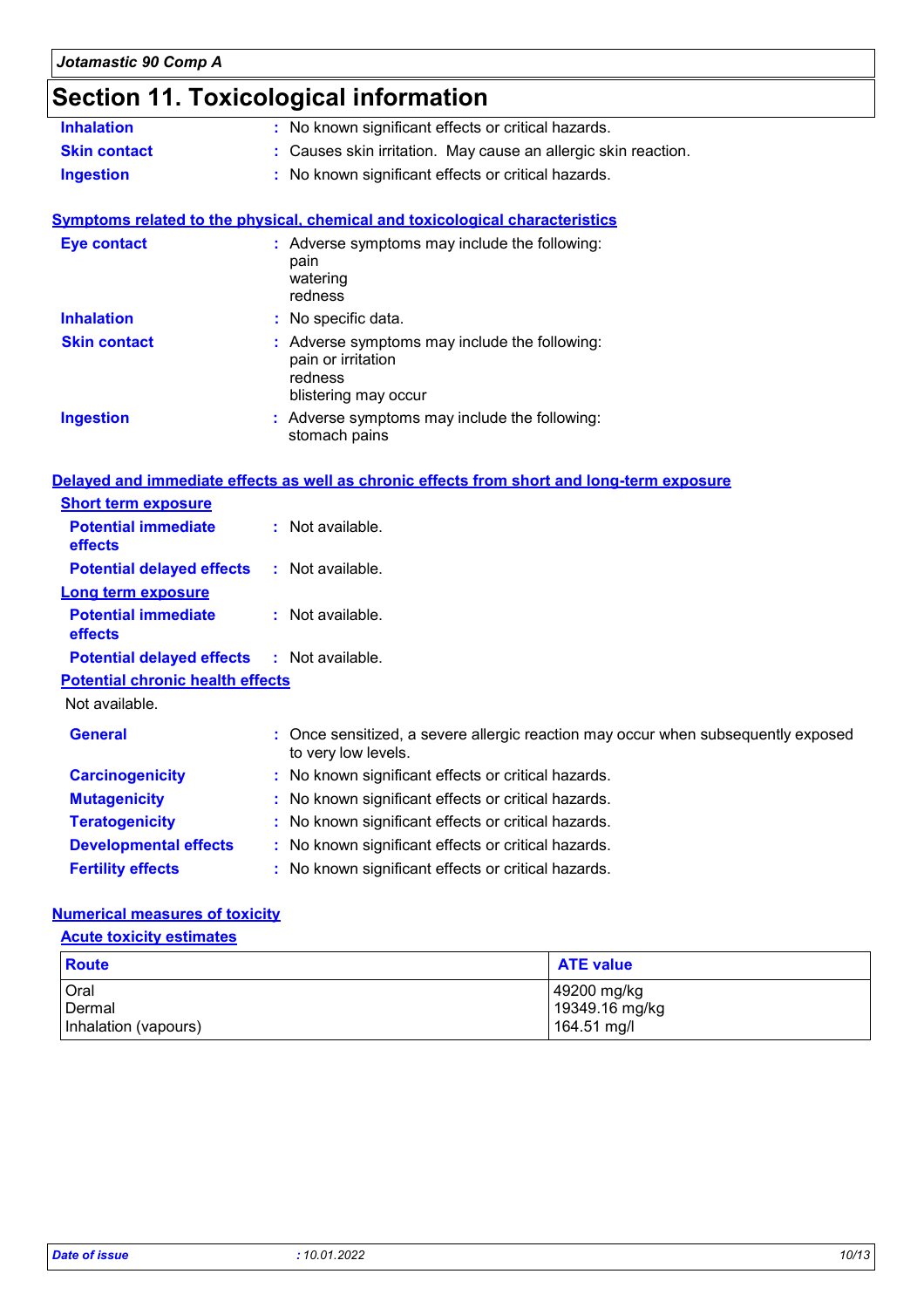# **Section 11. Toxicological information**

| <b>Inhalation</b>                       | : No known significant effects or critical hazards.                                                      |  |  |  |
|-----------------------------------------|----------------------------------------------------------------------------------------------------------|--|--|--|
| <b>Skin contact</b>                     | : Causes skin irritation. May cause an allergic skin reaction.                                           |  |  |  |
| <b>Ingestion</b>                        | : No known significant effects or critical hazards.                                                      |  |  |  |
|                                         | <b>Symptoms related to the physical, chemical and toxicological characteristics</b>                      |  |  |  |
| <b>Eye contact</b>                      | : Adverse symptoms may include the following:<br>pain<br>watering<br>redness                             |  |  |  |
| <b>Inhalation</b>                       | : No specific data.                                                                                      |  |  |  |
| <b>Skin contact</b>                     | : Adverse symptoms may include the following:<br>pain or irritation<br>redness<br>blistering may occur   |  |  |  |
| <b>Ingestion</b>                        | : Adverse symptoms may include the following:<br>stomach pains                                           |  |  |  |
|                                         | Delayed and immediate effects as well as chronic effects from short and long-term exposure               |  |  |  |
| <b>Short term exposure</b>              |                                                                                                          |  |  |  |
| <b>Potential immediate</b><br>effects   | : Not available.                                                                                         |  |  |  |
| <b>Potential delayed effects</b>        | $:$ Not available.                                                                                       |  |  |  |
| <b>Long term exposure</b>               |                                                                                                          |  |  |  |
| <b>Potential immediate</b><br>effects   | : Not available.                                                                                         |  |  |  |
| <b>Potential delayed effects</b>        | : Not available.                                                                                         |  |  |  |
| <b>Potential chronic health effects</b> |                                                                                                          |  |  |  |
| Not available.                          |                                                                                                          |  |  |  |
| <b>General</b>                          | : Once sensitized, a severe allergic reaction may occur when subsequently exposed<br>to very low levels. |  |  |  |
| <b>Carcinogenicity</b>                  | : No known significant effects or critical hazards.                                                      |  |  |  |
| <b>Mutagenicity</b>                     | : No known significant effects or critical hazards.                                                      |  |  |  |
| <b>Teratogenicity</b>                   | : No known significant effects or critical hazards.                                                      |  |  |  |
| <b>Developmental effects</b>            | : No known significant effects or critical hazards.                                                      |  |  |  |
| <b>Fertility effects</b>                | : No known significant effects or critical hazards.                                                      |  |  |  |
|                                         |                                                                                                          |  |  |  |

#### **Numerical measures of toxicity**

#### **Acute toxicity estimates**

| <b>Route</b>         | <b>ATE value</b>              |
|----------------------|-------------------------------|
| Oral<br>Dermal       | 49200 mg/kg<br>19349.16 mg/kg |
| Inhalation (vapours) | 164.51 mg/l                   |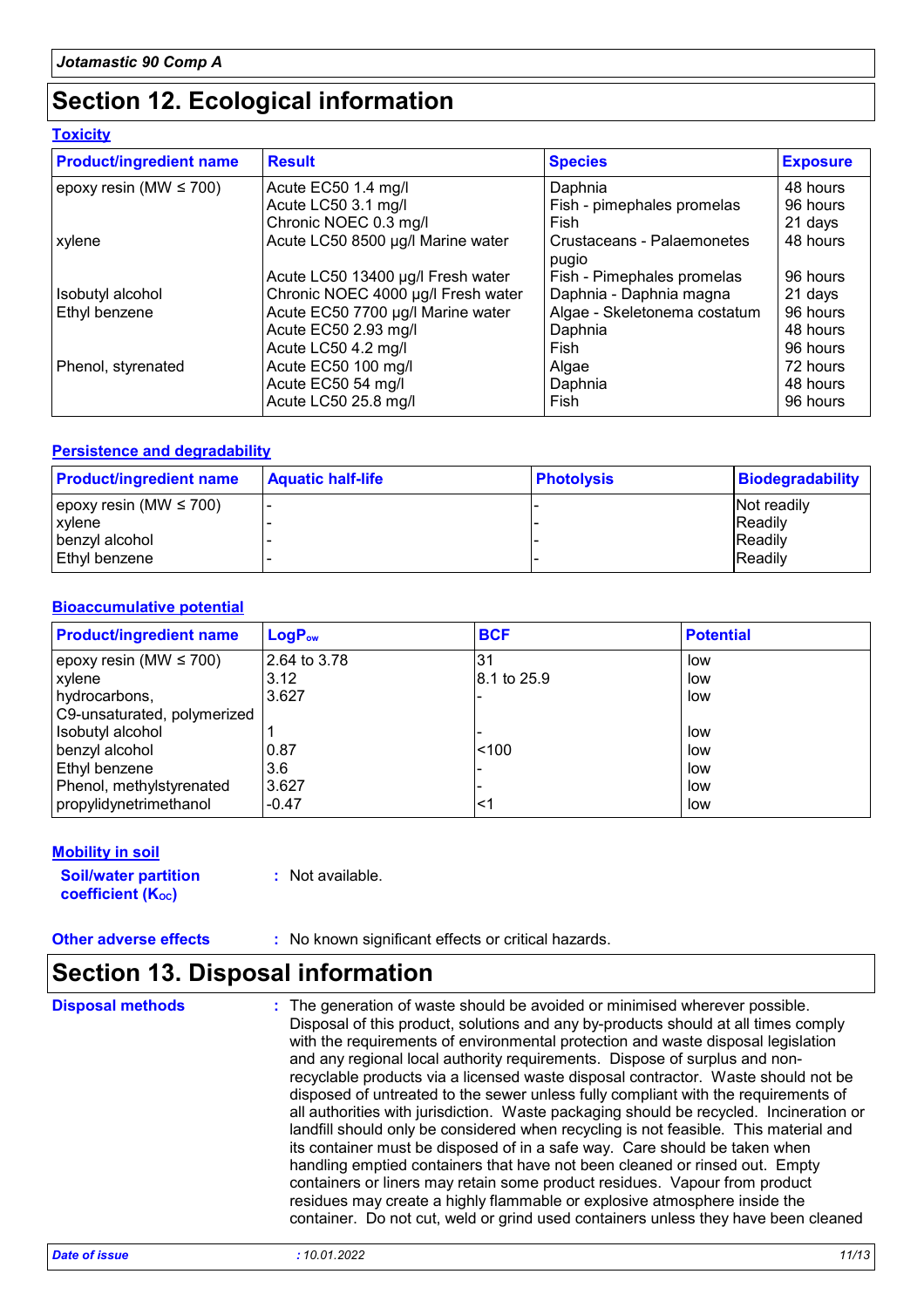## **Section 12. Ecological information**

| <u>LUAIGHY</u>                      |
|-------------------------------------|
| <b>Product/ingredient name</b>      |
| $\sqrt{200}$ resin (MM $\leq 700$ ) |

**Toxicity**

| <b>Product/ingredient name</b> | <b>Result</b>                      | <b>Species</b>                      | <b>Exposure</b> |
|--------------------------------|------------------------------------|-------------------------------------|-----------------|
| epoxy resin (MW $\leq 700$ )   | Acute EC50 1.4 mg/l                | Daphnia                             | 48 hours        |
|                                | Acute LC50 3.1 mg/l                | Fish - pimephales promelas          | 96 hours        |
|                                | Chronic NOEC 0.3 mg/l              | Fish                                | 21 days         |
| xylene                         | Acute LC50 8500 µg/l Marine water  | Crustaceans - Palaemonetes<br>pugio | 48 hours        |
|                                | Acute LC50 13400 µg/l Fresh water  | Fish - Pimephales promelas          | 96 hours        |
| Isobutyl alcohol               | Chronic NOEC 4000 µg/l Fresh water | Daphnia - Daphnia magna             | 21 days         |
| Ethyl benzene                  | Acute EC50 7700 µg/l Marine water  | Algae - Skeletonema costatum        | 96 hours        |
|                                | Acute EC50 2.93 mg/l               | Daphnia                             | 48 hours        |
|                                | Acute LC50 4.2 mg/l                | Fish                                | 96 hours        |
| Phenol, styrenated             | Acute EC50 100 mg/l                | Algae                               | 72 hours        |
|                                | Acute EC50 54 mg/l                 | Daphnia                             | 48 hours        |
|                                | Acute LC50 25.8 mg/l               | Fish                                | 96 hours        |

#### **Persistence and degradability**

| <b>Product/ingredient name</b> | <b>Aquatic half-life</b> | <b>Photolysis</b> | <b>Biodegradability</b> |
|--------------------------------|--------------------------|-------------------|-------------------------|
| epoxy resin (MW $\leq$ 700)    |                          |                   | Not readily             |
| xylene                         |                          |                   | <b>IReadily</b>         |
| benzvl alcohol                 |                          |                   | <b>Readily</b>          |
| Ethyl benzene                  |                          |                   | <b>Readily</b>          |

#### **Bioaccumulative potential**

| <b>Product/ingredient name</b> | <b>LogPow</b> | <b>BCF</b>   | <b>Potential</b> |
|--------------------------------|---------------|--------------|------------------|
| epoxy resin (MW $\leq$ 700)    | 2.64 to 3.78  | 31           | low              |
| xylene                         | 3.12          | l8.1 to 25.9 | low              |
| hydrocarbons,                  | 3.627         |              | low              |
| C9-unsaturated, polymerized    |               |              |                  |
| Isobutyl alcohol               |               |              | low              |
| benzyl alcohol                 | 0.87          | < 100        | low              |
| Ethyl benzene                  | 3.6           |              | low              |
| Phenol, methylstyrenated       | 3.627         |              | low              |
| propylidynetrimethanol         | $-0.47$       | <1           | low              |

#### **Mobility in soil**

**Soil/water partition coefficient (Koc)** 

**:** Not available.

**Other adverse effects** : No known significant effects or critical hazards.

## **Section 13. Disposal information**

The generation of waste should be avoided or minimised wherever possible. Disposal of this product, solutions and any by-products should at all times comply with the requirements of environmental protection and waste disposal legislation and any regional local authority requirements. Dispose of surplus and nonrecyclable products via a licensed waste disposal contractor. Waste should not be disposed of untreated to the sewer unless fully compliant with the requirements of all authorities with jurisdiction. Waste packaging should be recycled. Incineration or landfill should only be considered when recycling is not feasible. This material and its container must be disposed of in a safe way. Care should be taken when handling emptied containers that have not been cleaned or rinsed out. Empty containers or liners may retain some product residues. Vapour from product residues may create a highly flammable or explosive atmosphere inside the container. Do not cut, weld or grind used containers unless they have been cleaned **Disposal methods :**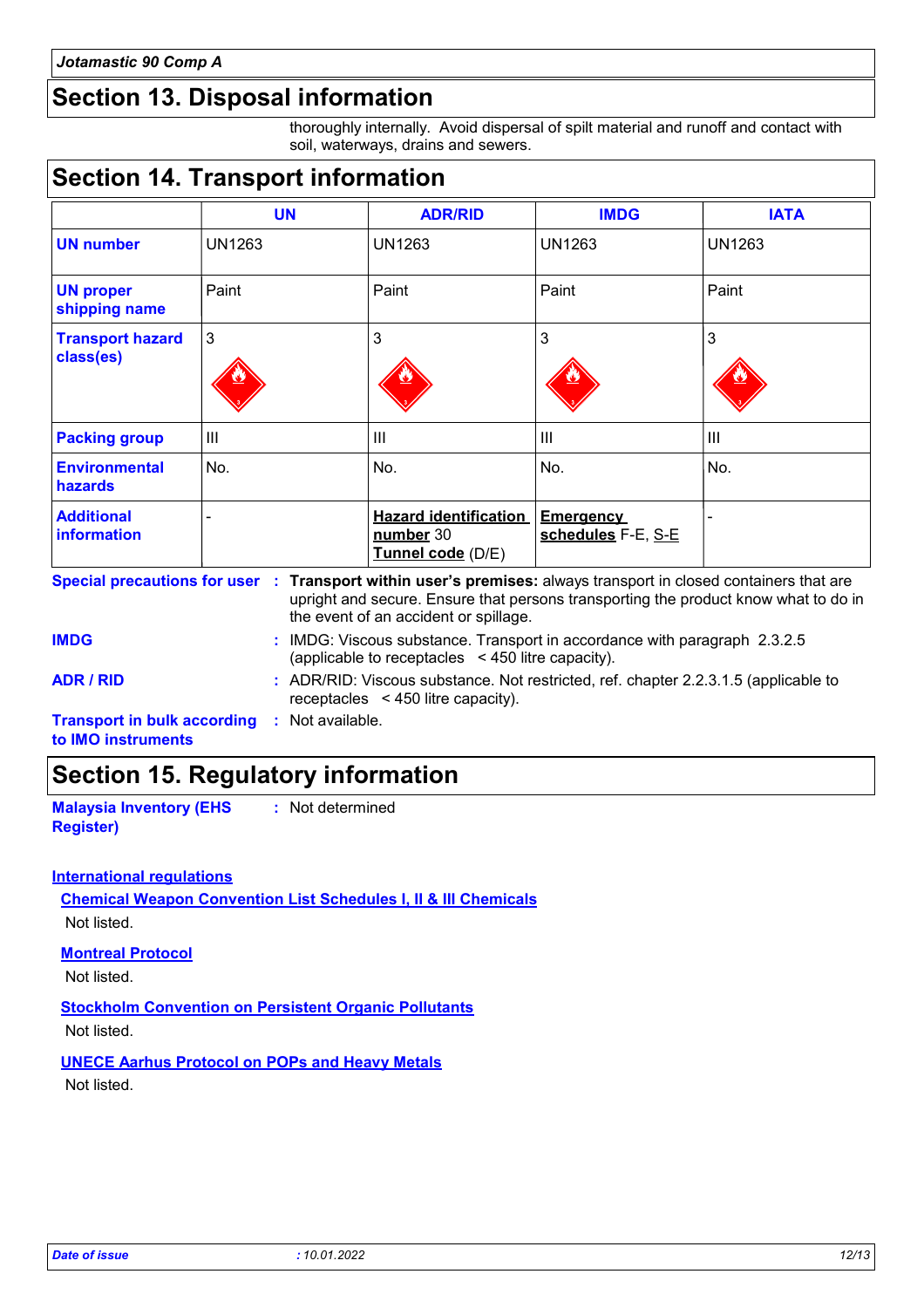## **Section 13. Disposal information**

thoroughly internally. Avoid dispersal of spilt material and runoff and contact with soil, waterways, drains and sewers.

### **Section 14. Transport information**

|                                      | <b>UN</b>      | <b>ADR/RID</b>                                                 | <b>IMDG</b>                            | <b>IATA</b>   |
|--------------------------------------|----------------|----------------------------------------------------------------|----------------------------------------|---------------|
| <b>UN number</b>                     | <b>UN1263</b>  | UN1263                                                         | <b>UN1263</b>                          | <b>UN1263</b> |
| <b>UN proper</b><br>shipping name    | Paint          | Paint                                                          | Paint                                  | Paint         |
| <b>Transport hazard</b><br>class(es) | 3              | 3                                                              | 3                                      | 3             |
| <b>Packing group</b>                 | $\mathbf{III}$ | III                                                            | III                                    | III           |
| <b>Environmental</b><br>hazards      | No.            | No.                                                            | No.                                    | No.           |
| <b>Additional</b><br>information     |                | <b>Hazard identification</b><br>number 30<br>Tunnel code (D/E) | <b>Emergency</b><br>schedules F-E, S-E |               |

**Special precautions for user Transport within user's premises:** always transport in closed containers that are **: Transport in bulk according :** Not available. upright and secure. Ensure that persons transporting the product know what to do in the event of an accident or spillage. IMDG: Viscous substance. Transport in accordance with paragraph 2.3.2.5 **IMDG :** (applicable to receptacles < 450 litre capacity). **ADR / RID :** ADR/RID: Viscous substance. Not restricted, ref. chapter 2.2.3.1.5 (applicable to receptacles < 450 litre capacity).

**to IMO instruments**

### **Section 15. Regulatory information**

**Malaysia Inventory (EHS Register) :** Not determined

#### **International regulations**

**Chemical Weapon Convention List Schedules I, II & III Chemicals** Not listed.

#### **Montreal Protocol**

Not listed.

#### **Stockholm Convention on Persistent Organic Pollutants**

Not listed.

#### **UNECE Aarhus Protocol on POPs and Heavy Metals**

Not listed.